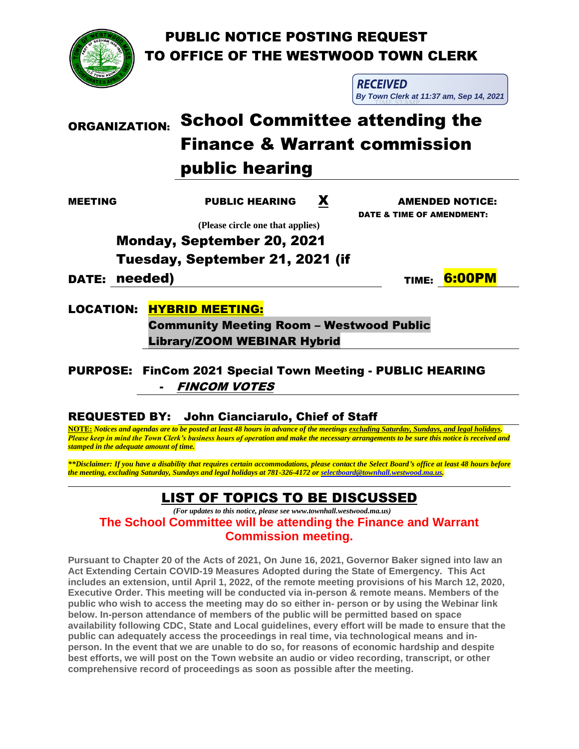PUBLIC NOTICE POSTING REQUEST TO OFFICE OF THE WESTWOOD TOWN CLERK



**RECEIVED** TIME STAMP **By Town Clerk at 11:37 am, Sep 14, 2021**

# ORGANIZATION: School Committee attending the Finance & Warrant commission public hearing

MEETING PUBLIC HEARING X AMENDED NOTICE: DATE & TIME OF AMENDMENT:

 **(Please circle one that applies)**

Monday, September 20, 2021 Tuesday, September 21, 2021 (if

DATE: needed)

TIME: 6:00PM

LOCATION: HYBRID MEETING:

Community Meeting Room – Westwood Public Library/ZOOM WEBINAR Hybrid

PURPOSE: FinCom 2021 Special Town Meeting - PUBLIC HEARING **FINCOM VOTES** 

## REQUESTED BY: John Cianciarulo, Chief of Staff

l

**NOTE:** *Notices and agendas are to be posted at least 48 hours in advance of the meetings excluding Saturday, Sundays, and legal holidays. Please keep in mind the Town Clerk's business hours of operation and make the necessary arrangements to be sure this notice is received and stamped in the adequate amount of time.* 

*\*\*Disclaimer: If you have a disability that requires certain accommodations, please contact the Select Board's office at least 48 hours before the meeting, excluding Saturday, Sundays and legal holidays at 781-326-4172 o[r selectboard@townhall.westwood.ma.us.](mailto:selectboard@townhall.westwood.ma.us)*

## LIST OF TOPICS TO BE DISCUSSED

 *(For updates to this notice, please see www.townhall.westwood.ma.us)* **The School Committee will be attending the Finance and Warrant Commission meeting.**

**Pursuant to Chapter 20 of the Acts of 2021, On June 16, 2021, Governor Baker signed into law an Act Extending Certain COVID-19 Measures Adopted during the State of Emergency. This Act includes an extension, until April 1, 2022, of the remote meeting provisions of his March 12, 2020, Executive Order. This meeting will be conducted via in-person & remote means. Members of the public who wish to access the meeting may do so either in- person or by using the Webinar link below. In-person attendance of members of the public will be permitted based on space availability following CDC, State and Local guidelines, every effort will be made to ensure that the public can adequately access the proceedings in real time, via technological means and inperson. In the event that we are unable to do so, for reasons of economic hardship and despite best efforts, we will post on the Town website an audio or video recording, transcript, or other comprehensive record of proceedings as soon as possible after the meeting.**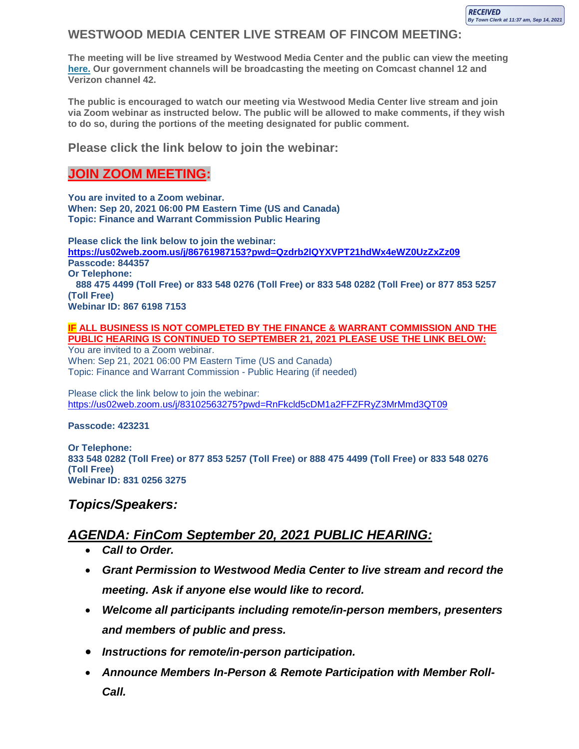#### **WESTWOOD MEDIA CENTER LIVE STREAM OF FINCOM MEETING:**

**The meeting will be live streamed by Westwood Media Center and the public can view the meeting here. Our government channels will be broadcasting the meeting on Comcast channel 12 and Verizon channel 42.**

**The public is encouraged to watch our meeting via Westwood Media Center live stream and join via Zoom webinar as instructed below. The public will be allowed to make comments, if they wish to do so, during the portions of the meeting designated for public comment.**

#### **Please click the link below to join the webinar:**

#### **JOIN ZOOM MEETING:**

**You are invited to a Zoom webinar. When: Sep 20, 2021 06:00 PM Eastern Time (US and Canada) Topic: Finance and Warrant Commission Public Hearing**

**Please click the link below to join the webinar: <https://us02web.zoom.us/j/86761987153?pwd=Qzdrb2lQYXVPT21hdWx4eWZ0UzZxZz09> Passcode: 844357 Or Telephone: 888 475 4499 (Toll Free) or 833 548 0276 (Toll Free) or 833 548 0282 (Toll Free) or 877 853 5257 (Toll Free) Webinar ID: 867 6198 7153**

**IF ALL BUSINESS IS NOT COMPLETED BY THE FINANCE & WARRANT COMMISSION AND THE PUBLIC HEARING IS CONTINUED TO SEPTEMBER 21, 2021 PLEASE USE THE LINK BELOW:** You are invited to a Zoom webinar.

When: Sep 21, 2021 06:00 PM Eastern Time (US and Canada) Topic: Finance and Warrant Commission - Public Hearing (if needed)

Please click the link below to join the webinar: <https://us02web.zoom.us/j/83102563275?pwd=RnFkcld5cDM1a2FFZFRyZ3MrMmd3QT09>

#### **Passcode: 423231**

**Or Telephone: 833 548 0282 (Toll Free) or 877 853 5257 (Toll Free) or 888 475 4499 (Toll Free) or 833 548 0276 (Toll Free) Webinar ID: 831 0256 3275**

#### *Topics/Speakers:*

### *AGENDA: FinCom September 20, 2021 PUBLIC HEARING:*

- *Call to Order.*
- *Grant Permission to Westwood Media Center to live stream and record the meeting. Ask if anyone else would like to record.*
- *Welcome all participants including remote/in-person members, presenters and members of public and press.*
- *Instructions for remote/in-person participation.*
- *Announce Members In-Person & Remote Participation with Member Roll-Call.*